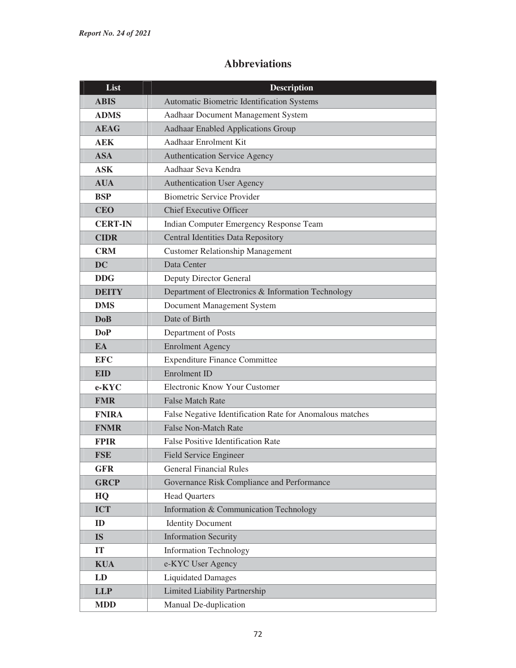## **Abbreviations**

| List           | <b>Description</b>                                       |
|----------------|----------------------------------------------------------|
| <b>ABIS</b>    | Automatic Biometric Identification Systems               |
| <b>ADMS</b>    | Aadhaar Document Management System                       |
| <b>AEAG</b>    | <b>Aadhaar Enabled Applications Group</b>                |
| <b>AEK</b>     | Aadhaar Enrolment Kit                                    |
| <b>ASA</b>     | Authentication Service Agency                            |
| <b>ASK</b>     | Aadhaar Seva Kendra                                      |
| <b>AUA</b>     | <b>Authentication User Agency</b>                        |
| <b>BSP</b>     | <b>Biometric Service Provider</b>                        |
| <b>CEO</b>     | <b>Chief Executive Officer</b>                           |
| <b>CERT-IN</b> | Indian Computer Emergency Response Team                  |
| <b>CIDR</b>    | <b>Central Identities Data Repository</b>                |
| <b>CRM</b>     | <b>Customer Relationship Management</b>                  |
| <b>DC</b>      | Data Center                                              |
| <b>DDG</b>     | Deputy Director General                                  |
| <b>DEITY</b>   | Department of Electronics & Information Technology       |
| <b>DMS</b>     | Document Management System                               |
| <b>DoB</b>     | Date of Birth                                            |
| <b>DoP</b>     | Department of Posts                                      |
| EA             | <b>Enrolment Agency</b>                                  |
| <b>EFC</b>     | <b>Expenditure Finance Committee</b>                     |
| <b>EID</b>     | Enrolment ID                                             |
| e-KYC          | Electronic Know Your Customer                            |
| <b>FMR</b>     | <b>False Match Rate</b>                                  |
| <b>FNIRA</b>   | False Negative Identification Rate for Anomalous matches |
| <b>FNMR</b>    | <b>False Non-Match Rate</b>                              |
| <b>FPIR</b>    | <b>False Positive Identification Rate</b>                |
| <b>FSE</b>     | <b>Field Service Engineer</b>                            |
| <b>GFR</b>     | <b>General Financial Rules</b>                           |
| <b>GRCP</b>    | Governance Risk Compliance and Performance               |
| HQ             | <b>Head Quarters</b>                                     |
| <b>ICT</b>     | Information & Communication Technology                   |
| ID             | <b>Identity Document</b>                                 |
| <b>IS</b>      | <b>Information Security</b>                              |
| IT             | <b>Information Technology</b>                            |
| <b>KUA</b>     | e-KYC User Agency                                        |
| LD             | <b>Liquidated Damages</b>                                |
| <b>LLP</b>     | <b>Limited Liability Partnership</b>                     |
| <b>MDD</b>     | Manual De-duplication                                    |